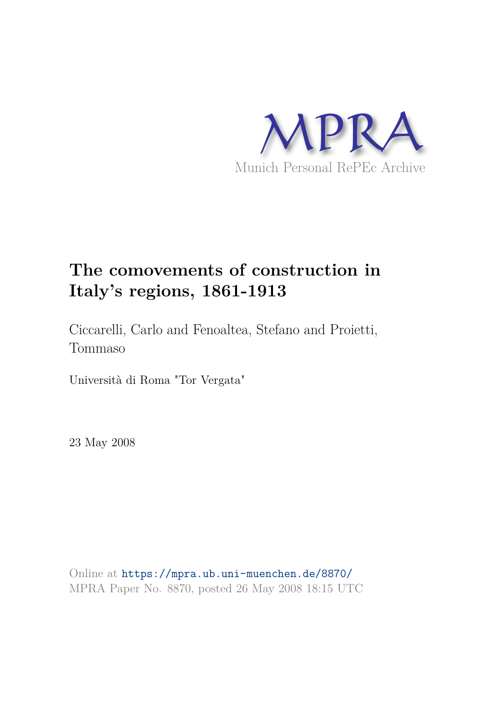

# **The comovements of construction in Italy's regions, 1861-1913**

Ciccarelli, Carlo and Fenoaltea, Stefano and Proietti, Tommaso

Università di Roma "Tor Vergata"

23 May 2008

Online at https://mpra.ub.uni-muenchen.de/8870/ MPRA Paper No. 8870, posted 26 May 2008 18:15 UTC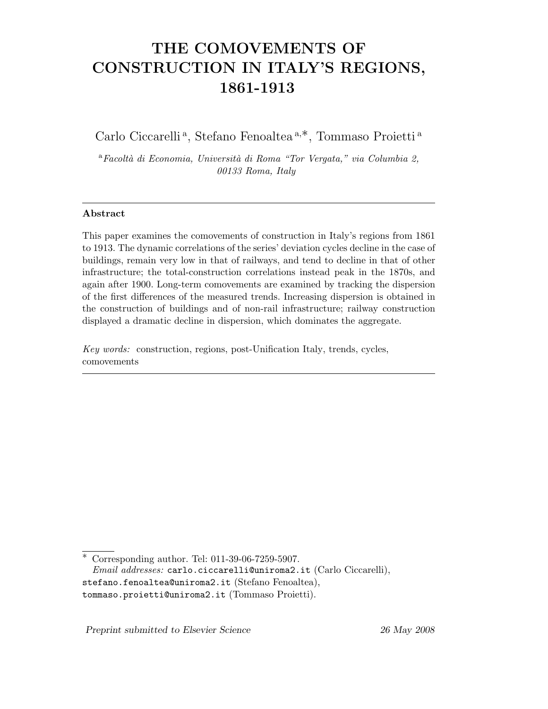## THE COMOVEMENTS OF CONSTRUCTION IN ITALY'S REGIONS, 1861-1913

Carlo Ciccarelli<sup>a</sup>, Stefano Fenoaltea<sup>a,\*</sup>, Tommaso Proietti<sup>a</sup>

 ${}^a$ Facoltà di Economia, Università di Roma "Tor Vergata," via Columbia 2, 00133 Roma, Italy

#### Abstract

This paper examines the comovements of construction in Italy's regions from 1861 to 1913. The dynamic correlations of the series' deviation cycles decline in the case of buildings, remain very low in that of railways, and tend to decline in that of other infrastructure; the total-construction correlations instead peak in the 1870s, and again after 1900. Long-term comovements are examined by tracking the dispersion of the first differences of the measured trends. Increasing dispersion is obtained in the construction of buildings and of non-rail infrastructure; railway construction displayed a dramatic decline in dispersion, which dominates the aggregate.

Key words: construction, regions, post-Unification Italy, trends, cycles, comovements

Preprint submitted to Elsevier Science 26 May 2008

Corresponding author. Tel: 011-39-06-7259-5907. Email addresses: carlo.ciccarelli@uniroma2.it (Carlo Ciccarelli), stefano.fenoaltea@uniroma2.it (Stefano Fenoaltea), tommaso.proietti@uniroma2.it (Tommaso Proietti).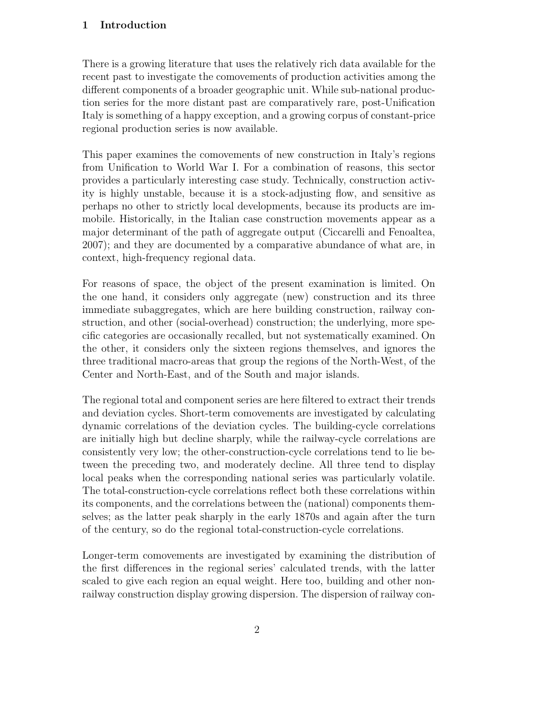#### 1 Introduction

There is a growing literature that uses the relatively rich data available for the recent past to investigate the comovements of production activities among the different components of a broader geographic unit. While sub-national production series for the more distant past are comparatively rare, post-Unification Italy is something of a happy exception, and a growing corpus of constant-price regional production series is now available.

This paper examines the comovements of new construction in Italy's regions from Unification to World War I. For a combination of reasons, this sector provides a particularly interesting case study. Technically, construction activity is highly unstable, because it is a stock-adjusting flow, and sensitive as perhaps no other to strictly local developments, because its products are immobile. Historically, in the Italian case construction movements appear as a major determinant of the path of aggregate output (Ciccarelli and Fenoaltea, 2007); and they are documented by a comparative abundance of what are, in context, high-frequency regional data.

For reasons of space, the object of the present examination is limited. On the one hand, it considers only aggregate (new) construction and its three immediate subaggregates, which are here building construction, railway construction, and other (social-overhead) construction; the underlying, more specific categories are occasionally recalled, but not systematically examined. On the other, it considers only the sixteen regions themselves, and ignores the three traditional macro-areas that group the regions of the North-West, of the Center and North-East, and of the South and major islands.

The regional total and component series are here filtered to extract their trends and deviation cycles. Short-term comovements are investigated by calculating dynamic correlations of the deviation cycles. The building-cycle correlations are initially high but decline sharply, while the railway-cycle correlations are consistently very low; the other-construction-cycle correlations tend to lie between the preceding two, and moderately decline. All three tend to display local peaks when the corresponding national series was particularly volatile. The total-construction-cycle correlations reflect both these correlations within its components, and the correlations between the (national) components themselves; as the latter peak sharply in the early 1870s and again after the turn of the century, so do the regional total-construction-cycle correlations.

Longer-term comovements are investigated by examining the distribution of the first differences in the regional series' calculated trends, with the latter scaled to give each region an equal weight. Here too, building and other nonrailway construction display growing dispersion. The dispersion of railway con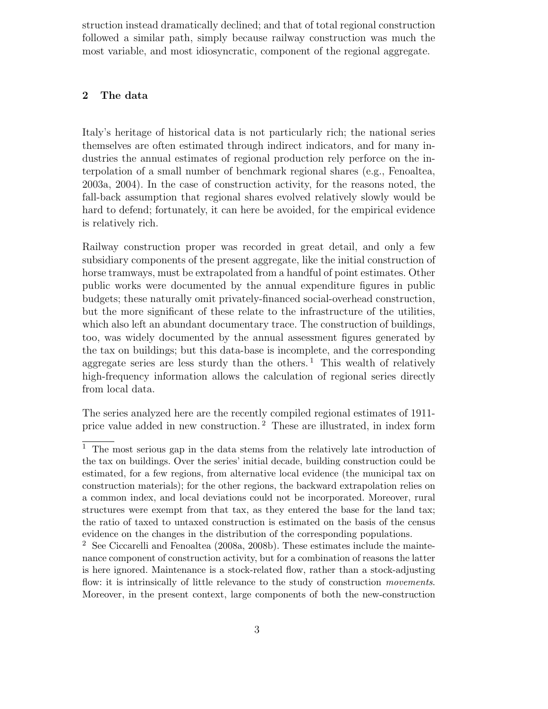struction instead dramatically declined; and that of total regional construction followed a similar path, simply because railway construction was much the most variable, and most idiosyncratic, component of the regional aggregate.

#### 2 The data

Italy's heritage of historical data is not particularly rich; the national series themselves are often estimated through indirect indicators, and for many industries the annual estimates of regional production rely perforce on the interpolation of a small number of benchmark regional shares (e.g., Fenoaltea, 2003a, 2004). In the case of construction activity, for the reasons noted, the fall-back assumption that regional shares evolved relatively slowly would be hard to defend; fortunately, it can here be avoided, for the empirical evidence is relatively rich.

Railway construction proper was recorded in great detail, and only a few subsidiary components of the present aggregate, like the initial construction of horse tramways, must be extrapolated from a handful of point estimates. Other public works were documented by the annual expenditure figures in public budgets; these naturally omit privately-financed social-overhead construction, but the more significant of these relate to the infrastructure of the utilities, which also left an abundant documentary trace. The construction of buildings, too, was widely documented by the annual assessment figures generated by the tax on buildings; but this data-base is incomplete, and the corresponding aggregate series are less sturdy than the others.<sup>1</sup> This wealth of relatively high-frequency information allows the calculation of regional series directly from local data.

The series analyzed here are the recently compiled regional estimates of 1911 price value added in new construction. <sup>2</sup> These are illustrated, in index form

 $1$  The most serious gap in the data stems from the relatively late introduction of the tax on buildings. Over the series' initial decade, building construction could be estimated, for a few regions, from alternative local evidence (the municipal tax on construction materials); for the other regions, the backward extrapolation relies on a common index, and local deviations could not be incorporated. Moreover, rural structures were exempt from that tax, as they entered the base for the land tax; the ratio of taxed to untaxed construction is estimated on the basis of the census evidence on the changes in the distribution of the corresponding populations.

<sup>2</sup> See Ciccarelli and Fenoaltea (2008a, 2008b). These estimates include the maintenance component of construction activity, but for a combination of reasons the latter is here ignored. Maintenance is a stock-related flow, rather than a stock-adjusting flow: it is intrinsically of little relevance to the study of construction *movements*. Moreover, in the present context, large components of both the new-construction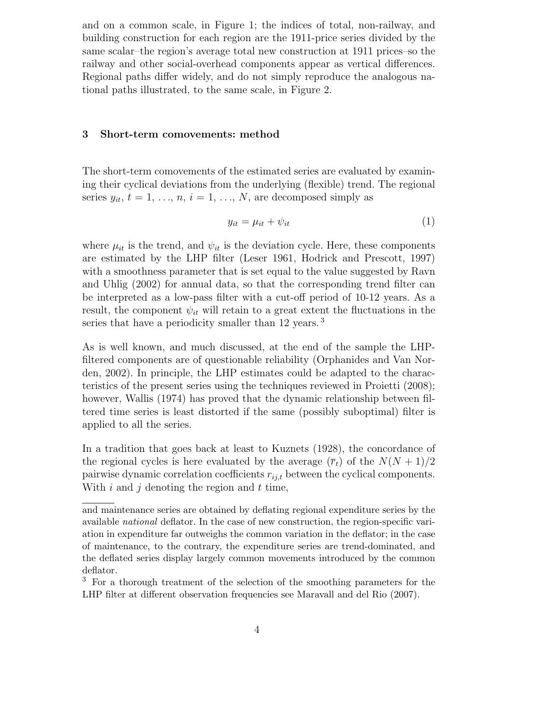and on a common scale, in Figure 1; the indices of total, non-railway, and building construction for each region are the 1911-price series divided by the same scalar–the region's average total new construction at 1911 prices–so the railway and other social-overhead components appear as vertical differences. Regional paths differ widely, and do not simply reproduce the analogous national paths illustrated, to the same scale, in Figure 2.

#### 3 Short-term comovements: method

The short-term comovements of the estimated series are evaluated by examining their cyclical deviations from the underlying (flexible) trend. The regional series  $y_{it}$ ,  $t = 1, \ldots, n$ ,  $i = 1, \ldots, N$ , are decomposed simply as

$$
y_{it} = \mu_{it} + \psi_{it} \tag{1}
$$

where  $\mu_{it}$  is the trend, and  $\psi_{it}$  is the deviation cycle. Here, these components are estimated by the LHP filter (Leser 1961, Hodrick and Prescott, 1997) with a smoothness parameter that is set equal to the value suggested by Ravn and Uhlig (2002) for annual data, so that the corresponding trend filter can be interpreted as a low-pass filter with a cut-off period of 10-12 years. As a result, the component  $\psi_{it}$  will retain to a great extent the fluctuations in the series that have a periodicity smaller than 12 years.<sup>3</sup>

As is well known, and much discussed, at the end of the sample the LHPfiltered components are of questionable reliability (Orphanides and Van Norden, 2002). In principle, the LHP estimates could be adapted to the characteristics of the present series using the techniques reviewed in Proietti (2008); however, Wallis (1974) has proved that the dynamic relationship between filtered time series is least distorted if the same (possibly suboptimal) filter is applied to all the series.

In a tradition that goes back at least to Kuznets (1928), the concordance of the regional cycles is here evaluated by the average  $(\bar{r}_t)$  of the  $N(N+1)/2$ pairwise dynamic correlation coefficients  $r_{i,j,t}$  between the cyclical components. With  $i$  and  $j$  denoting the region and  $t$  time,

and maintenance series are obtained by deflating regional expenditure series by the available national deflator. In the case of new construction, the region-specific variation in expenditure far outweighs the common variation in the deflator; in the case of maintenance, to the contrary, the expenditure series are trend-dominated, and the deflated series display largely common movements introduced by the common deflator.

<sup>&</sup>lt;sup>3</sup> For a thorough treatment of the selection of the smoothing parameters for the LHP filter at different observation frequencies see Maravall and del Rio (2007).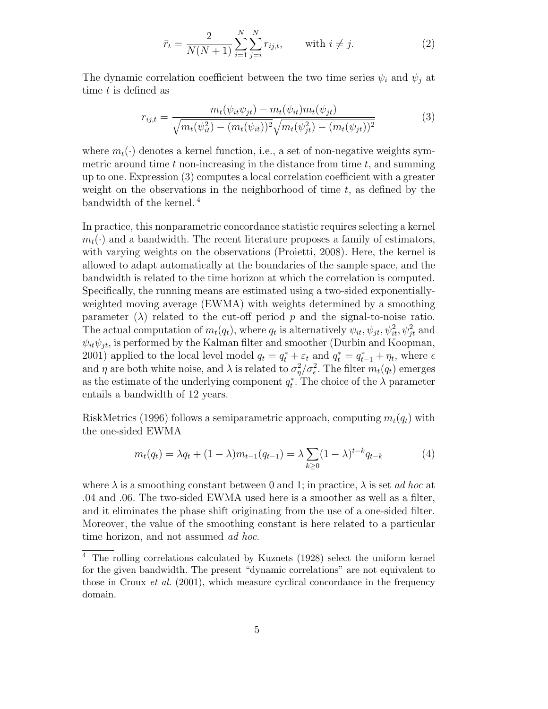$$
\bar{r}_t = \frac{2}{N(N+1)} \sum_{i=1}^{N} \sum_{j=i}^{N} r_{ij,t}, \quad \text{with } i \neq j.
$$
 (2)

The dynamic correlation coefficient between the two time series  $\psi_i$  and  $\psi_j$  at time t is defined as

$$
r_{ij,t} = \frac{m_t(\psi_{it}\psi_{jt}) - m_t(\psi_{it})m_t(\psi_{jt})}{\sqrt{m_t(\psi_{it}^2) - (m_t(\psi_{it}))^2}\sqrt{m_t(\psi_{jt}^2) - (m_t(\psi_{jt}))^2}}
$$
(3)

where  $m_t(\cdot)$  denotes a kernel function, i.e., a set of non-negative weights symmetric around time  $t$  non-increasing in the distance from time  $t$ , and summing up to one. Expression (3) computes a local correlation coefficient with a greater weight on the observations in the neighborhood of time  $t$ , as defined by the bandwidth of the kernel. <sup>4</sup>

In practice, this nonparametric concordance statistic requires selecting a kernel  $m_t(\cdot)$  and a bandwidth. The recent literature proposes a family of estimators, with varying weights on the observations (Proietti, 2008). Here, the kernel is allowed to adapt automatically at the boundaries of the sample space, and the bandwidth is related to the time horizon at which the correlation is computed. Specifically, the running means are estimated using a two-sided exponentiallyweighted moving average (EWMA) with weights determined by a smoothing parameter  $(\lambda)$  related to the cut-off period p and the signal-to-noise ratio. The actual computation of  $m_t(q_t)$ , where  $q_t$  is alternatively  $\psi_{it}, \psi_{jt}, \psi_{it}^2, \psi_{jt}^2$  and  $\psi_{it}\psi_{it}$ , is performed by the Kalman filter and smoother (Durbin and Koopman, 2001) applied to the local level model  $q_t = q_t^* + \varepsilon_t$  and  $q_t^* = q_{t-1}^* + \eta_t$ , where  $\epsilon$ and  $\eta$  are both white noise, and  $\lambda$  is related to  $\sigma_n^2$  $\frac{2}{\eta}/\sigma_{\epsilon}^2$ . The filter  $m_t(q_t)$  emerges as the estimate of the underlying component  $q_t^*$ . The choice of the  $\lambda$  parameter entails a bandwidth of 12 years.

RiskMetrics (1996) follows a semiparametric approach, computing  $m_t(q_t)$  with the one-sided EWMA

$$
m_t(q_t) = \lambda q_t + (1 - \lambda)m_{t-1}(q_{t-1}) = \lambda \sum_{k \ge 0} (1 - \lambda)^{t-k} q_{t-k}
$$
 (4)

where  $\lambda$  is a smoothing constant between 0 and 1; in practice,  $\lambda$  is set *ad hoc* at .04 and .06. The two-sided EWMA used here is a smoother as well as a filter, and it eliminates the phase shift originating from the use of a one-sided filter. Moreover, the value of the smoothing constant is here related to a particular time horizon, and not assumed *ad hoc*.

 $\overline{4}$  The rolling correlations calculated by Kuznets (1928) select the uniform kernel for the given bandwidth. The present "dynamic correlations" are not equivalent to those in Croux *et al.* (2001), which measure cyclical concordance in the frequency domain.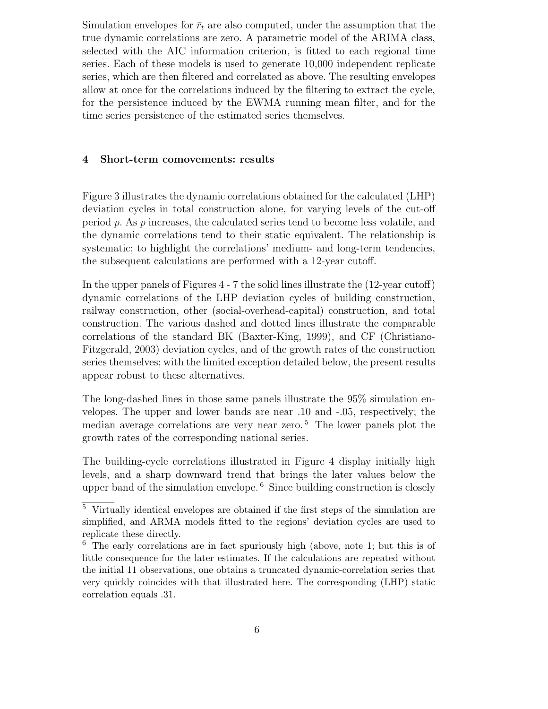Simulation envelopes for  $\bar{r}_t$  are also computed, under the assumption that the true dynamic correlations are zero. A parametric model of the ARIMA class, selected with the AIC information criterion, is fitted to each regional time series. Each of these models is used to generate 10,000 independent replicate series, which are then filtered and correlated as above. The resulting envelopes allow at once for the correlations induced by the filtering to extract the cycle, for the persistence induced by the EWMA running mean filter, and for the time series persistence of the estimated series themselves.

#### 4 Short-term comovements: results

Figure 3 illustrates the dynamic correlations obtained for the calculated (LHP) deviation cycles in total construction alone, for varying levels of the cut-off period p. As p increases, the calculated series tend to become less volatile, and the dynamic correlations tend to their static equivalent. The relationship is systematic; to highlight the correlations' medium- and long-term tendencies, the subsequent calculations are performed with a 12-year cutoff.

In the upper panels of Figures 4 - 7 the solid lines illustrate the (12-year cutoff) dynamic correlations of the LHP deviation cycles of building construction, railway construction, other (social-overhead-capital) construction, and total construction. The various dashed and dotted lines illustrate the comparable correlations of the standard BK (Baxter-King, 1999), and CF (Christiano-Fitzgerald, 2003) deviation cycles, and of the growth rates of the construction series themselves; with the limited exception detailed below, the present results appear robust to these alternatives.

The long-dashed lines in those same panels illustrate the 95% simulation envelopes. The upper and lower bands are near .10 and -.05, respectively; the median average correlations are very near zero. <sup>5</sup> The lower panels plot the growth rates of the corresponding national series.

The building-cycle correlations illustrated in Figure 4 display initially high levels, and a sharp downward trend that brings the later values below the upper band of the simulation envelope. <sup>6</sup> Since building construction is closely

<sup>5</sup> Virtually identical envelopes are obtained if the first steps of the simulation are simplified, and ARMA models fitted to the regions' deviation cycles are used to replicate these directly.

<sup>6</sup> The early correlations are in fact spuriously high (above, note 1; but this is of little consequence for the later estimates. If the calculations are repeated without the initial 11 observations, one obtains a truncated dynamic-correlation series that very quickly coincides with that illustrated here. The corresponding (LHP) static correlation equals .31.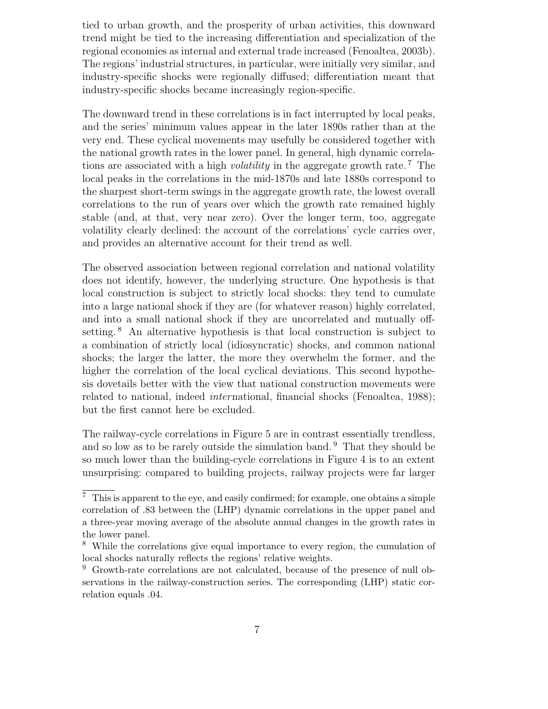tied to urban growth, and the prosperity of urban activities, this downward trend might be tied to the increasing differentiation and specialization of the regional economies as internal and external trade increased (Fenoaltea, 2003b). The regions' industrial structures, in particular, were initially very similar, and industry-specific shocks were regionally diffused; differentiation meant that industry-specific shocks became increasingly region-specific.

The downward trend in these correlations is in fact interrupted by local peaks, and the series' minimum values appear in the later 1890s rather than at the very end. These cyclical movements may usefully be considered together with the national growth rates in the lower panel. In general, high dynamic correlations are associated with a high *volatility* in the aggregate growth rate.<sup>7</sup> The local peaks in the correlations in the mid-1870s and late 1880s correspond to the sharpest short-term swings in the aggregate growth rate, the lowest overall correlations to the run of years over which the growth rate remained highly stable (and, at that, very near zero). Over the longer term, too, aggregate volatility clearly declined: the account of the correlations' cycle carries over, and provides an alternative account for their trend as well.

The observed association between regional correlation and national volatility does not identify, however, the underlying structure. One hypothesis is that local construction is subject to strictly local shocks: they tend to cumulate into a large national shock if they are (for whatever reason) highly correlated, and into a small national shock if they are uncorrelated and mutually offsetting.<sup>8</sup> An alternative hypothesis is that local construction is subject to a combination of strictly local (idiosyncratic) shocks, and common national shocks; the larger the latter, the more they overwhelm the former, and the higher the correlation of the local cyclical deviations. This second hypothesis dovetails better with the view that national construction movements were related to national, indeed *international*, financial shocks (Fenoaltea, 1988); but the first cannot here be excluded.

The railway-cycle correlations in Figure 5 are in contrast essentially trendless, and so low as to be rarely outside the simulation band. <sup>9</sup> That they should be so much lower than the building-cycle correlations in Figure 4 is to an extent unsurprising: compared to building projects, railway projects were far larger

 $7$  This is apparent to the eye, and easily confirmed; for example, one obtains a simple correlation of .83 between the (LHP) dynamic correlations in the upper panel and a three-year moving average of the absolute annual changes in the growth rates in the lower panel.

<sup>8</sup> While the correlations give equal importance to every region, the cumulation of local shocks naturally reflects the regions' relative weights.

<sup>9</sup> Growth-rate correlations are not calculated, because of the presence of null observations in the railway-construction series. The corresponding (LHP) static correlation equals .04.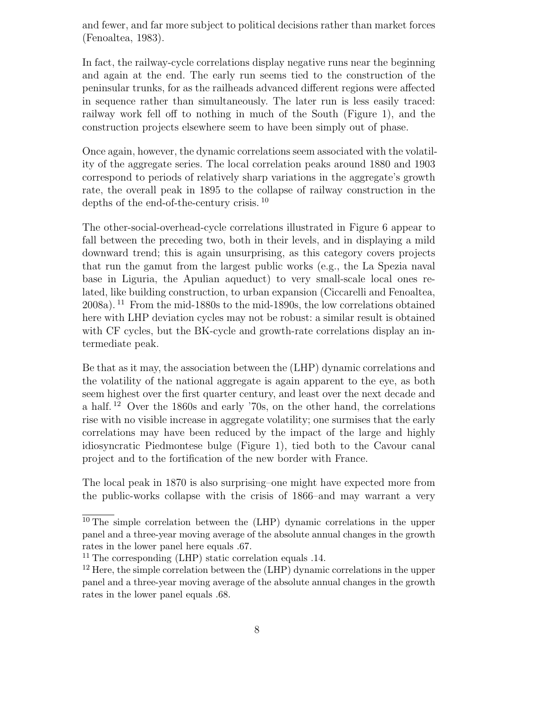and fewer, and far more subject to political decisions rather than market forces (Fenoaltea, 1983).

In fact, the railway-cycle correlations display negative runs near the beginning and again at the end. The early run seems tied to the construction of the peninsular trunks, for as the railheads advanced different regions were affected in sequence rather than simultaneously. The later run is less easily traced: railway work fell off to nothing in much of the South (Figure 1), and the construction projects elsewhere seem to have been simply out of phase.

Once again, however, the dynamic correlations seem associated with the volatility of the aggregate series. The local correlation peaks around 1880 and 1903 correspond to periods of relatively sharp variations in the aggregate's growth rate, the overall peak in 1895 to the collapse of railway construction in the depths of the end-of-the-century crisis. <sup>10</sup>

The other-social-overhead-cycle correlations illustrated in Figure 6 appear to fall between the preceding two, both in their levels, and in displaying a mild downward trend; this is again unsurprising, as this category covers projects that run the gamut from the largest public works (e.g., the La Spezia naval base in Liguria, the Apulian aqueduct) to very small-scale local ones related, like building construction, to urban expansion (Ciccarelli and Fenoaltea, 2008a). <sup>11</sup> From the mid-1880s to the mid-1890s, the low correlations obtained here with LHP deviation cycles may not be robust: a similar result is obtained with CF cycles, but the BK-cycle and growth-rate correlations display an intermediate peak.

Be that as it may, the association between the (LHP) dynamic correlations and the volatility of the national aggregate is again apparent to the eye, as both seem highest over the first quarter century, and least over the next decade and a half.  $12$  Over the 1860s and early '70s, on the other hand, the correlations rise with no visible increase in aggregate volatility; one surmises that the early correlations may have been reduced by the impact of the large and highly idiosyncratic Piedmontese bulge (Figure 1), tied both to the Cavour canal project and to the fortification of the new border with France.

The local peak in 1870 is also surprising–one might have expected more from the public-works collapse with the crisis of 1866–and may warrant a very

<sup>10</sup> The simple correlation between the (LHP) dynamic correlations in the upper panel and a three-year moving average of the absolute annual changes in the growth rates in the lower panel here equals .67.

<sup>&</sup>lt;sup>11</sup> The corresponding (LHP) static correlation equals .14.

<sup>&</sup>lt;sup>12</sup> Here, the simple correlation between the (LHP) dynamic correlations in the upper panel and a three-year moving average of the absolute annual changes in the growth rates in the lower panel equals .68.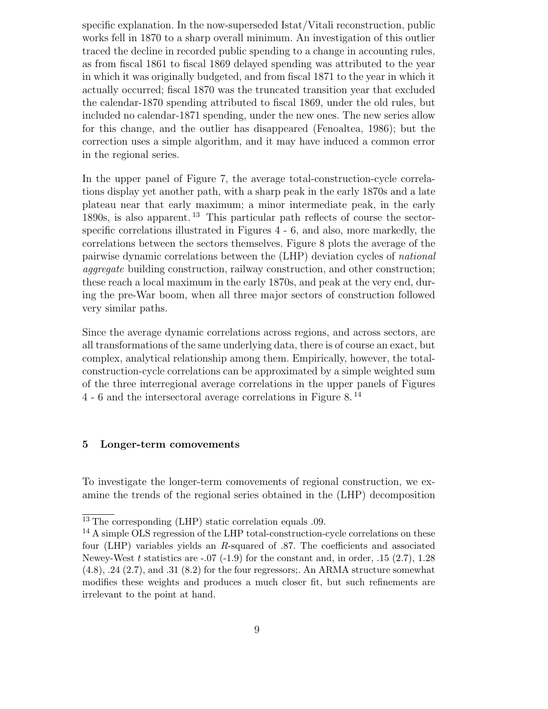specific explanation. In the now-superseded Istat/Vitali reconstruction, public works fell in 1870 to a sharp overall minimum. An investigation of this outlier traced the decline in recorded public spending to a change in accounting rules, as from fiscal 1861 to fiscal 1869 delayed spending was attributed to the year in which it was originally budgeted, and from fiscal 1871 to the year in which it actually occurred; fiscal 1870 was the truncated transition year that excluded the calendar-1870 spending attributed to fiscal 1869, under the old rules, but included no calendar-1871 spending, under the new ones. The new series allow for this change, and the outlier has disappeared (Fenoaltea, 1986); but the correction uses a simple algorithm, and it may have induced a common error in the regional series.

In the upper panel of Figure 7, the average total-construction-cycle correlations display yet another path, with a sharp peak in the early 1870s and a late plateau near that early maximum; a minor intermediate peak, in the early 1890s, is also apparent. <sup>13</sup> This particular path reflects of course the sectorspecific correlations illustrated in Figures 4 - 6, and also, more markedly, the correlations between the sectors themselves. Figure 8 plots the average of the pairwise dynamic correlations between the (LHP) deviation cycles of national aggregate building construction, railway construction, and other construction; these reach a local maximum in the early 1870s, and peak at the very end, during the pre-War boom, when all three major sectors of construction followed very similar paths.

Since the average dynamic correlations across regions, and across sectors, are all transformations of the same underlying data, there is of course an exact, but complex, analytical relationship among them. Empirically, however, the totalconstruction-cycle correlations can be approximated by a simple weighted sum of the three interregional average correlations in the upper panels of Figures 4 - 6 and the intersectoral average correlations in Figure 8. <sup>14</sup>

#### 5 Longer-term comovements

To investigate the longer-term comovements of regional construction, we examine the trends of the regional series obtained in the (LHP) decomposition

<sup>13</sup> The corresponding (LHP) static correlation equals .09.

<sup>&</sup>lt;sup>14</sup> A simple OLS regression of the LHP total-construction-cycle correlations on these four (LHP) variables yields an R-squared of .87. The coefficients and associated Newey-West t statistics are  $-0.07$  (-1.9) for the constant and, in order, .15 (2.7), 1.28  $(4.8), .24$   $(2.7),$  and  $.31$   $(8.2)$  for the four regressors;. An ARMA structure somewhat modifies these weights and produces a much closer fit, but such refinements are irrelevant to the point at hand.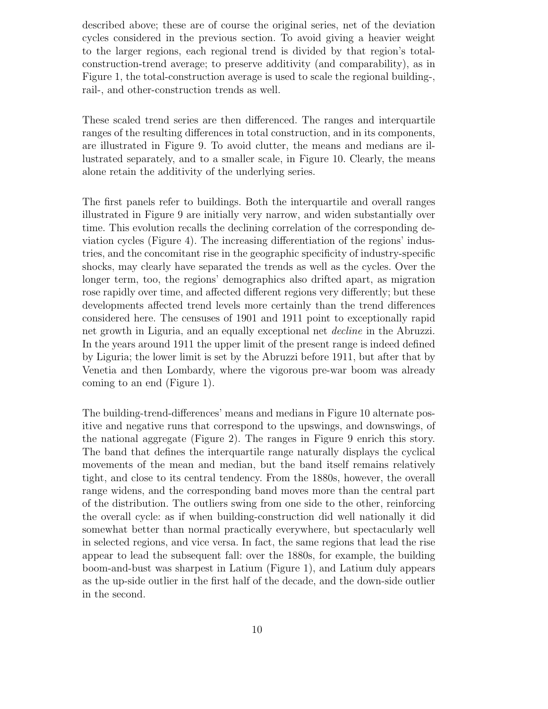described above; these are of course the original series, net of the deviation cycles considered in the previous section. To avoid giving a heavier weight to the larger regions, each regional trend is divided by that region's totalconstruction-trend average; to preserve additivity (and comparability), as in Figure 1, the total-construction average is used to scale the regional building-, rail-, and other-construction trends as well.

These scaled trend series are then differenced. The ranges and interquartile ranges of the resulting differences in total construction, and in its components, are illustrated in Figure 9. To avoid clutter, the means and medians are illustrated separately, and to a smaller scale, in Figure 10. Clearly, the means alone retain the additivity of the underlying series.

The first panels refer to buildings. Both the interquartile and overall ranges illustrated in Figure 9 are initially very narrow, and widen substantially over time. This evolution recalls the declining correlation of the corresponding deviation cycles (Figure 4). The increasing differentiation of the regions' industries, and the concomitant rise in the geographic specificity of industry-specific shocks, may clearly have separated the trends as well as the cycles. Over the longer term, too, the regions' demographics also drifted apart, as migration rose rapidly over time, and affected different regions very differently; but these developments affected trend levels more certainly than the trend differences considered here. The censuses of 1901 and 1911 point to exceptionally rapid net growth in Liguria, and an equally exceptional net decline in the Abruzzi. In the years around 1911 the upper limit of the present range is indeed defined by Liguria; the lower limit is set by the Abruzzi before 1911, but after that by Venetia and then Lombardy, where the vigorous pre-war boom was already coming to an end (Figure 1).

The building-trend-differences' means and medians in Figure 10 alternate positive and negative runs that correspond to the upswings, and downswings, of the national aggregate (Figure 2). The ranges in Figure 9 enrich this story. The band that defines the interquartile range naturally displays the cyclical movements of the mean and median, but the band itself remains relatively tight, and close to its central tendency. From the 1880s, however, the overall range widens, and the corresponding band moves more than the central part of the distribution. The outliers swing from one side to the other, reinforcing the overall cycle: as if when building-construction did well nationally it did somewhat better than normal practically everywhere, but spectacularly well in selected regions, and vice versa. In fact, the same regions that lead the rise appear to lead the subsequent fall: over the 1880s, for example, the building boom-and-bust was sharpest in Latium (Figure 1), and Latium duly appears as the up-side outlier in the first half of the decade, and the down-side outlier in the second.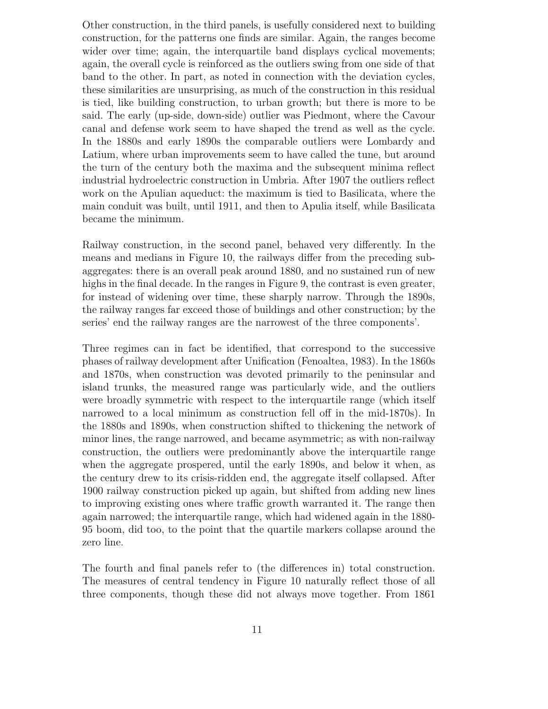Other construction, in the third panels, is usefully considered next to building construction, for the patterns one finds are similar. Again, the ranges become wider over time; again, the interquartile band displays cyclical movements; again, the overall cycle is reinforced as the outliers swing from one side of that band to the other. In part, as noted in connection with the deviation cycles, these similarities are unsurprising, as much of the construction in this residual is tied, like building construction, to urban growth; but there is more to be said. The early (up-side, down-side) outlier was Piedmont, where the Cavour canal and defense work seem to have shaped the trend as well as the cycle. In the 1880s and early 1890s the comparable outliers were Lombardy and Latium, where urban improvements seem to have called the tune, but around the turn of the century both the maxima and the subsequent minima reflect industrial hydroelectric construction in Umbria. After 1907 the outliers reflect work on the Apulian aqueduct: the maximum is tied to Basilicata, where the main conduit was built, until 1911, and then to Apulia itself, while Basilicata became the minimum.

Railway construction, in the second panel, behaved very differently. In the means and medians in Figure 10, the railways differ from the preceding subaggregates: there is an overall peak around 1880, and no sustained run of new highs in the final decade. In the ranges in Figure 9, the contrast is even greater, for instead of widening over time, these sharply narrow. Through the 1890s, the railway ranges far exceed those of buildings and other construction; by the series' end the railway ranges are the narrowest of the three components'.

Three regimes can in fact be identified, that correspond to the successive phases of railway development after Unification (Fenoaltea, 1983). In the 1860s and 1870s, when construction was devoted primarily to the peninsular and island trunks, the measured range was particularly wide, and the outliers were broadly symmetric with respect to the interquartile range (which itself narrowed to a local minimum as construction fell off in the mid-1870s). In the 1880s and 1890s, when construction shifted to thickening the network of minor lines, the range narrowed, and became asymmetric; as with non-railway construction, the outliers were predominantly above the interquartile range when the aggregate prospered, until the early 1890s, and below it when, as the century drew to its crisis-ridden end, the aggregate itself collapsed. After 1900 railway construction picked up again, but shifted from adding new lines to improving existing ones where traffic growth warranted it. The range then again narrowed; the interquartile range, which had widened again in the 1880- 95 boom, did too, to the point that the quartile markers collapse around the zero line.

The fourth and final panels refer to (the differences in) total construction. The measures of central tendency in Figure 10 naturally reflect those of all three components, though these did not always move together. From 1861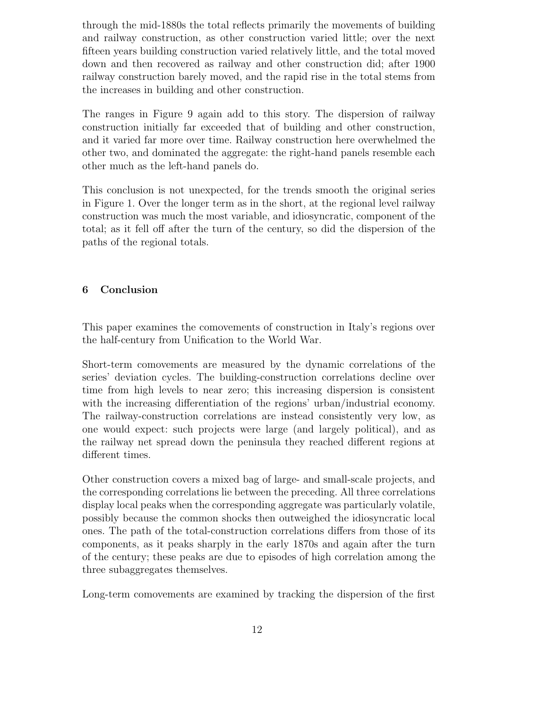through the mid-1880s the total reflects primarily the movements of building and railway construction, as other construction varied little; over the next fifteen years building construction varied relatively little, and the total moved down and then recovered as railway and other construction did; after 1900 railway construction barely moved, and the rapid rise in the total stems from the increases in building and other construction.

The ranges in Figure 9 again add to this story. The dispersion of railway construction initially far exceeded that of building and other construction, and it varied far more over time. Railway construction here overwhelmed the other two, and dominated the aggregate: the right-hand panels resemble each other much as the left-hand panels do.

This conclusion is not unexpected, for the trends smooth the original series in Figure 1. Over the longer term as in the short, at the regional level railway construction was much the most variable, and idiosyncratic, component of the total; as it fell off after the turn of the century, so did the dispersion of the paths of the regional totals.

#### 6 Conclusion

This paper examines the comovements of construction in Italy's regions over the half-century from Unification to the World War.

Short-term comovements are measured by the dynamic correlations of the series' deviation cycles. The building-construction correlations decline over time from high levels to near zero; this increasing dispersion is consistent with the increasing differentiation of the regions' urban/industrial economy. The railway-construction correlations are instead consistently very low, as one would expect: such projects were large (and largely political), and as the railway net spread down the peninsula they reached different regions at different times.

Other construction covers a mixed bag of large- and small-scale projects, and the corresponding correlations lie between the preceding. All three correlations display local peaks when the corresponding aggregate was particularly volatile, possibly because the common shocks then outweighed the idiosyncratic local ones. The path of the total-construction correlations differs from those of its components, as it peaks sharply in the early 1870s and again after the turn of the century; these peaks are due to episodes of high correlation among the three subaggregates themselves.

Long-term comovements are examined by tracking the dispersion of the first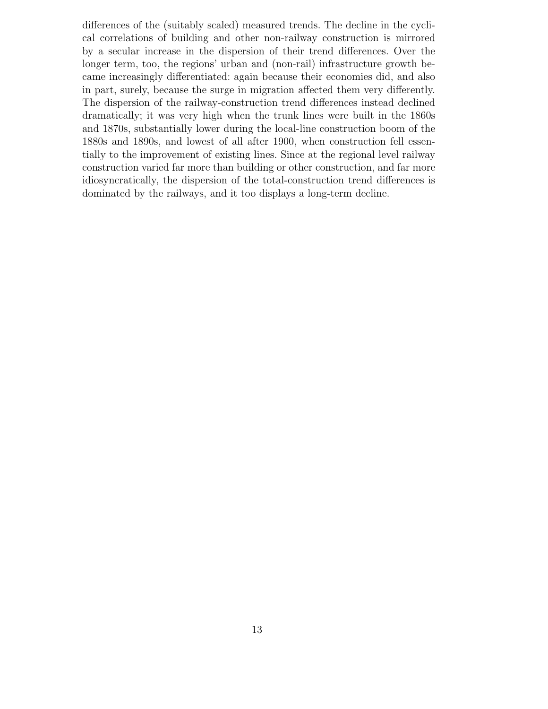differences of the (suitably scaled) measured trends. The decline in the cyclical correlations of building and other non-railway construction is mirrored by a secular increase in the dispersion of their trend differences. Over the longer term, too, the regions' urban and (non-rail) infrastructure growth became increasingly differentiated: again because their economies did, and also in part, surely, because the surge in migration affected them very differently. The dispersion of the railway-construction trend differences instead declined dramatically; it was very high when the trunk lines were built in the 1860s and 1870s, substantially lower during the local-line construction boom of the 1880s and 1890s, and lowest of all after 1900, when construction fell essentially to the improvement of existing lines. Since at the regional level railway construction varied far more than building or other construction, and far more idiosyncratically, the dispersion of the total-construction trend differences is dominated by the railways, and it too displays a long-term decline.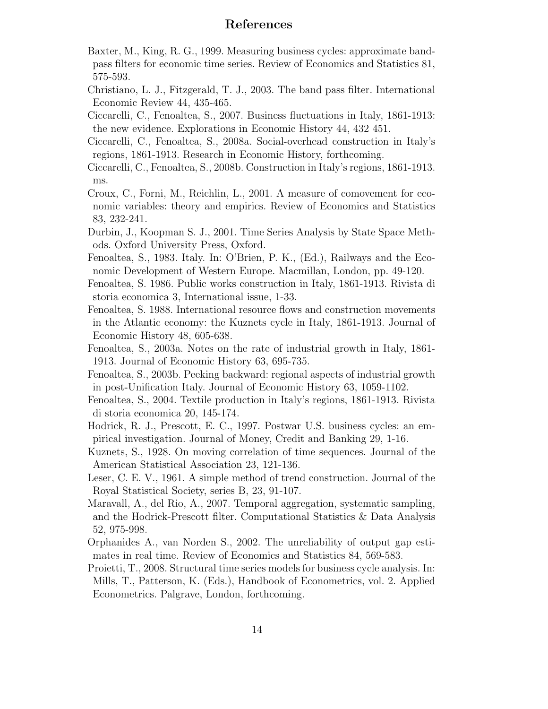### References

Baxter, M., King, R. G., 1999. Measuring business cycles: approximate bandpass filters for economic time series. Review of Economics and Statistics 81, 575-593.

Christiano, L. J., Fitzgerald, T. J., 2003. The band pass filter. International Economic Review 44, 435-465.

Ciccarelli, C., Fenoaltea, S., 2007. Business fluctuations in Italy, 1861-1913: the new evidence. Explorations in Economic History 44, 432 451.

- Ciccarelli, C., Fenoaltea, S., 2008a. Social-overhead construction in Italy's regions, 1861-1913. Research in Economic History, forthcoming.
- Ciccarelli, C., Fenoaltea, S., 2008b. Construction in Italy's regions, 1861-1913. ms.
- Croux, C., Forni, M., Reichlin, L., 2001. A measure of comovement for economic variables: theory and empirics. Review of Economics and Statistics 83, 232-241.
- Durbin, J., Koopman S. J., 2001. Time Series Analysis by State Space Methods. Oxford University Press, Oxford.
- Fenoaltea, S., 1983. Italy. In: O'Brien, P. K., (Ed.), Railways and the Economic Development of Western Europe. Macmillan, London, pp. 49-120.
- Fenoaltea, S. 1986. Public works construction in Italy, 1861-1913. Rivista di storia economica 3, International issue, 1-33.
- Fenoaltea, S. 1988. International resource flows and construction movements in the Atlantic economy: the Kuznets cycle in Italy, 1861-1913. Journal of Economic History 48, 605-638.
- Fenoaltea, S., 2003a. Notes on the rate of industrial growth in Italy, 1861- 1913. Journal of Economic History 63, 695-735.
- Fenoaltea, S., 2003b. Peeking backward: regional aspects of industrial growth in post-Unification Italy. Journal of Economic History 63, 1059-1102.
- Fenoaltea, S., 2004. Textile production in Italy's regions, 1861-1913. Rivista di storia economica 20, 145-174.
- Hodrick, R. J., Prescott, E. C., 1997. Postwar U.S. business cycles: an empirical investigation. Journal of Money, Credit and Banking 29, 1-16.
- Kuznets, S., 1928. On moving correlation of time sequences. Journal of the American Statistical Association 23, 121-136.
- Leser, C. E. V., 1961. A simple method of trend construction. Journal of the Royal Statistical Society, series B, 23, 91-107.
- Maravall, A., del Rio, A., 2007. Temporal aggregation, systematic sampling, and the Hodrick-Prescott filter. Computational Statistics & Data Analysis 52, 975-998.
- Orphanides A., van Norden S., 2002. The unreliability of output gap estimates in real time. Review of Economics and Statistics 84, 569-583.
- Proietti, T., 2008. Structural time series models for business cycle analysis. In: Mills, T., Patterson, K. (Eds.), Handbook of Econometrics, vol. 2. Applied Econometrics. Palgrave, London, forthcoming.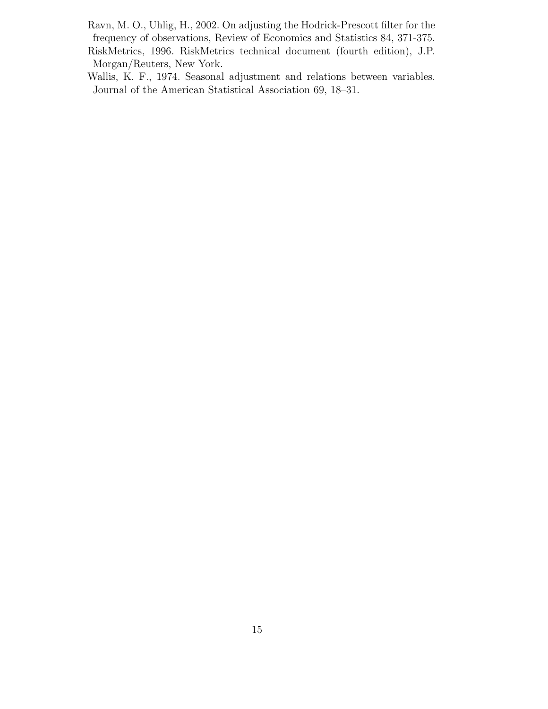- Ravn, M. O., Uhlig, H., 2002. On adjusting the Hodrick-Prescott filter for the frequency of observations, Review of Economics and Statistics 84, 371-375. RiskMetrics, 1996. RiskMetrics technical document (fourth edition), J.P. Morgan/Reuters, New York.
- Wallis, K. F., 1974. Seasonal adjustment and relations between variables. Journal of the American Statistical Association 69, 18–31.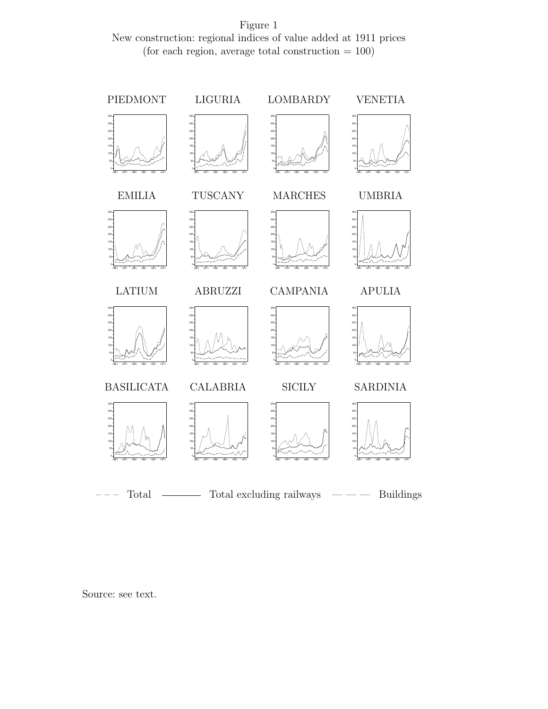Figure 1 New construction: regional indices of value added at 1911 prices (for each region, average total construction  $= 100$ )



Source: see text.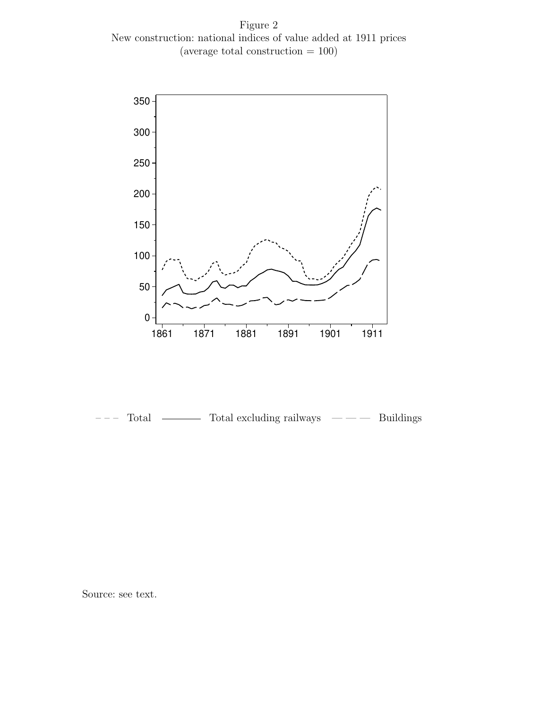Figure 2 New construction: national indices of value added at 1911 prices (average total construction = 100)



Total  $\longrightarrow$  Total excluding railways  $\longrightarrow$  Buildings

Source: see text.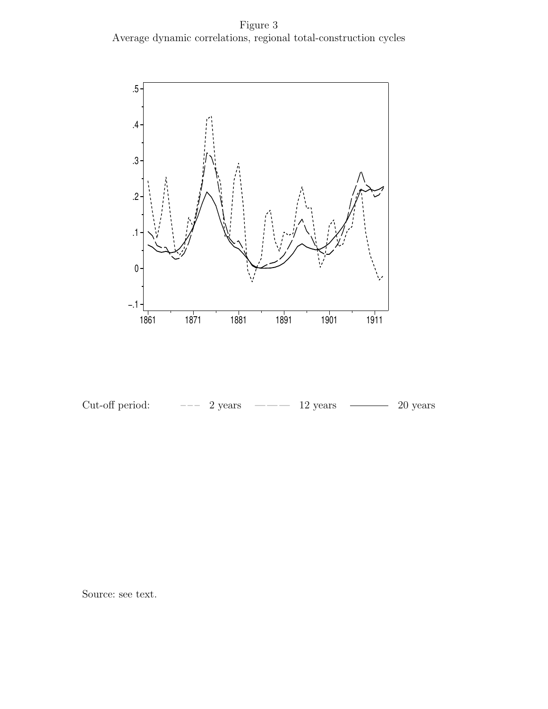Figure 3 Average dynamic correlations, regional total-construction cycles





Source: see text.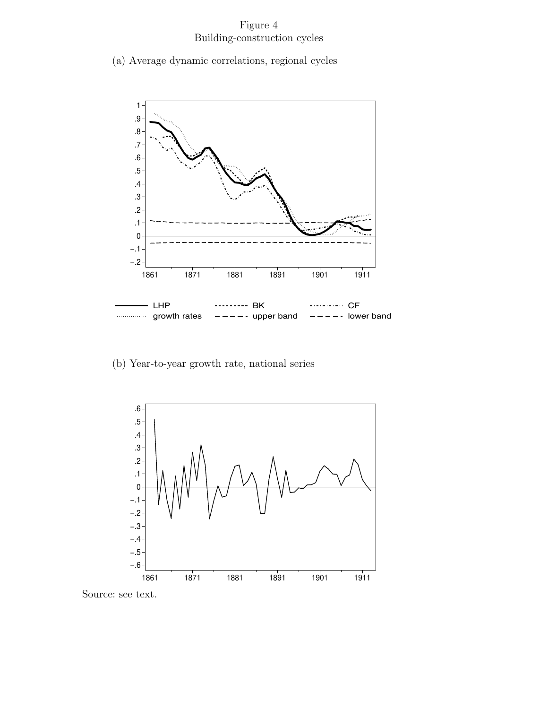## Figure 4 Building-construction cycles

(a) Average dynamic correlations, regional cycles



(b) Year-to-year growth rate, national series



Source: see text.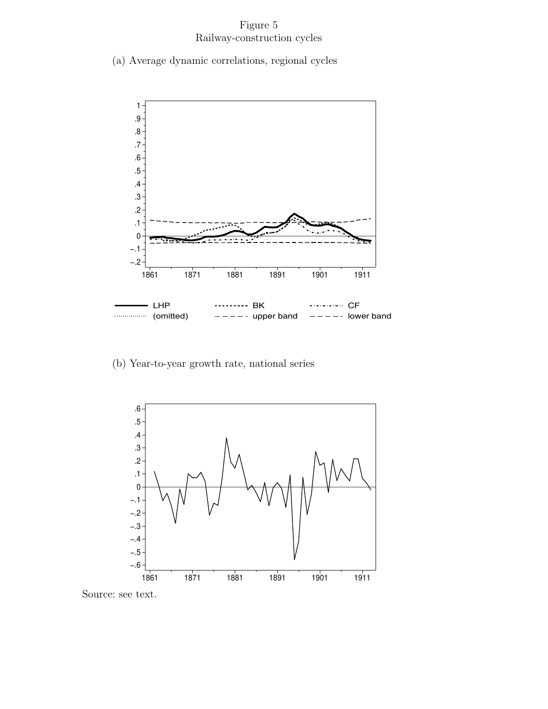## Figure 5 Railway-construction cycles

(a) Average dynamic correlations, regional cycles



(b) Year-to-year growth rate, national series



Source: see text.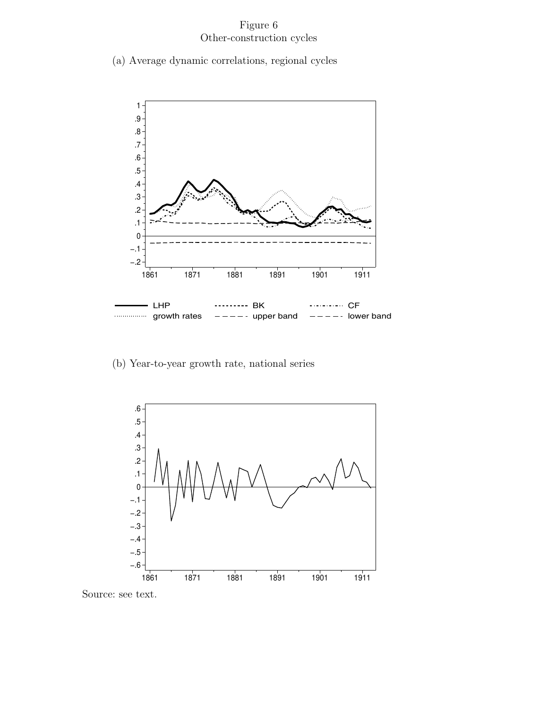## Figure 6 Other-construction cycles

(a) Average dynamic correlations, regional cycles



(b) Year-to-year growth rate, national series



Source: see text.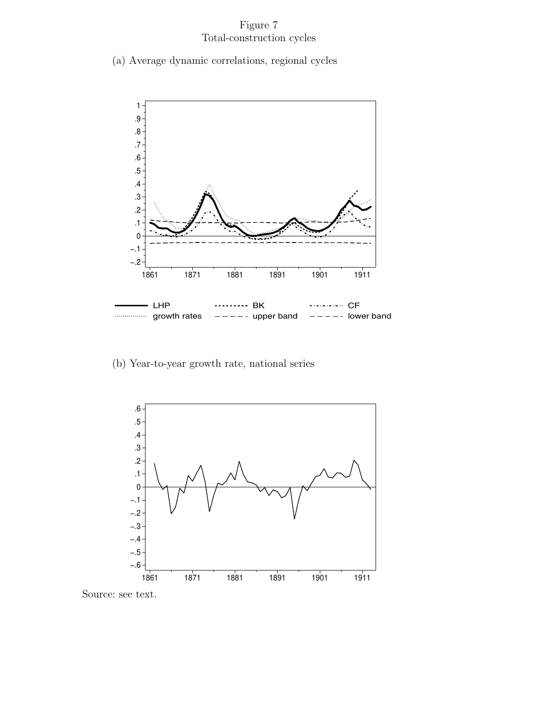## Figure 7 Total-construction cycles

(a) Average dynamic correlations, regional cycles



(b) Year-to-year growth rate, national series



Source: see text.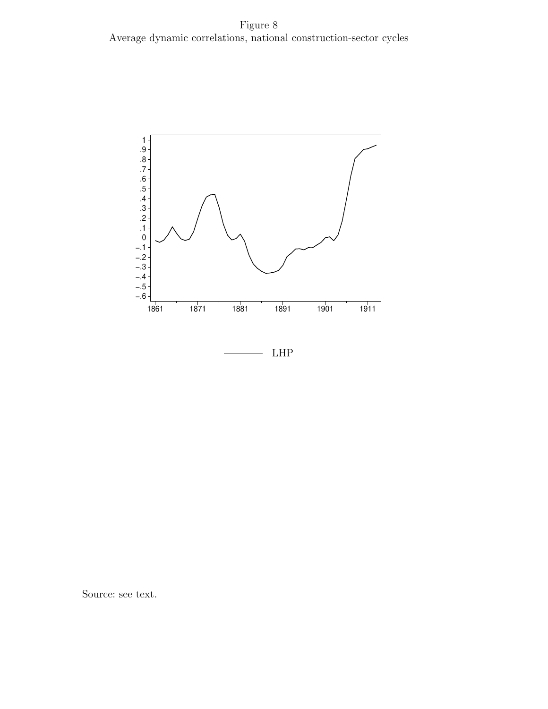![](_page_23_Figure_1.jpeg)

Source: see text.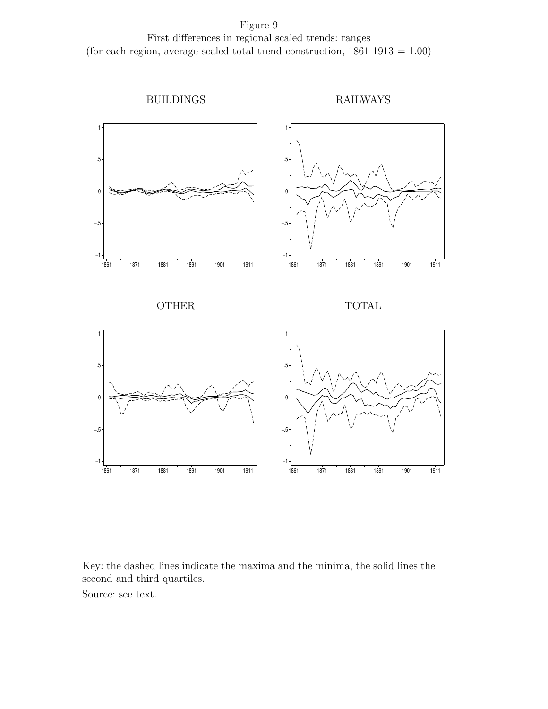Figure 9 First differences in regional scaled trends: ranges (for each region, average scaled total trend construction,  $1861-1913 = 1.00$ )

![](_page_24_Figure_1.jpeg)

Key: the dashed lines indicate the maxima and the minima, the solid lines the second and third quartiles.

Source: see text.